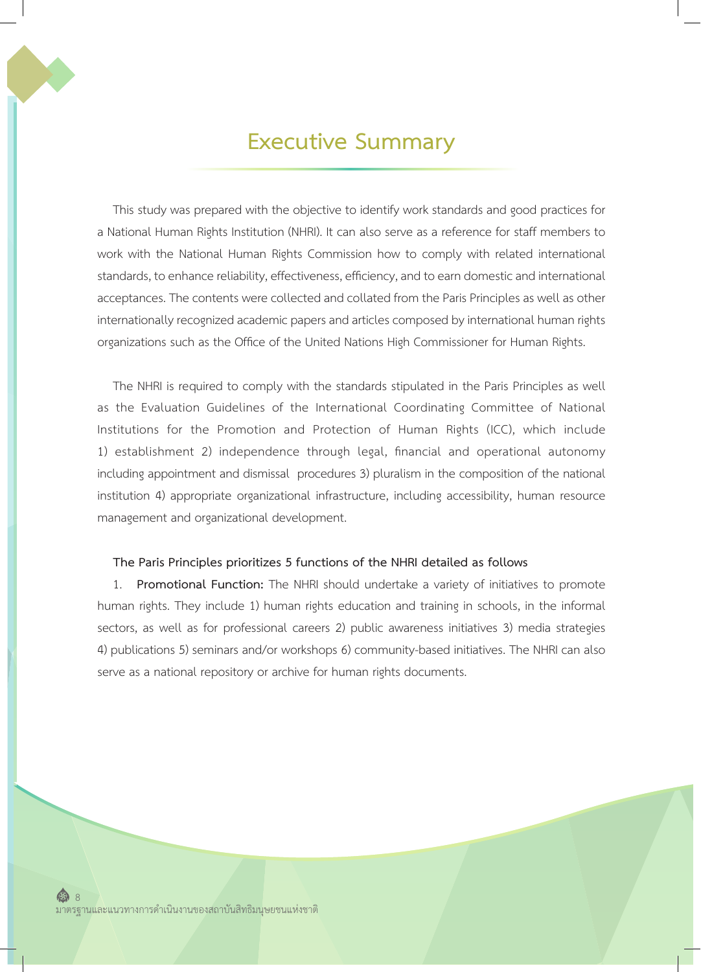## **Executive Summary**

This study was prepared with the objective to identify work standards and good practices for a National Human Rights Institution (NHRI). It can also serve as a reference for staff members to work with the National Human Rights Commission how to comply with related international standards, to enhance reliability, effectiveness, efficiency, and to earn domestic and international acceptances. The contents were collected and collated from the Paris Principles as well as other internationally recognized academic papers and articles composed by international human rights organizations such as the Office of the United Nations High Commissioner for Human Rights.

The NHRI is required to comply with the standards stipulated in the Paris Principles as well as the Evaluation Guidelines of the International Coordinating Committee of National Institutions for the Promotion and Protection of Human Rights (ICC), which include 1) establishment 2) independence through legal, financial and operational autonomy including appointment and dismissal procedures 3) pluralism in the composition of the national institution 4) appropriate organizational infrastructure, including accessibility, human resource management and organizational development.

## **The Paris Principles prioritizes 5 functions of the NHRI detailed as follows**

1. **Promotional Function:** The NHRI should undertake a variety of initiatives to promote human rights. They include 1) human rights education and training in schools, in the informal sectors, as well as for professional careers 2) public awareness initiatives 3) media strategies 4) publications 5) seminars and/or workshops 6) community-based initiatives. The NHRI can also serve as a national repository or archive for human rights documents.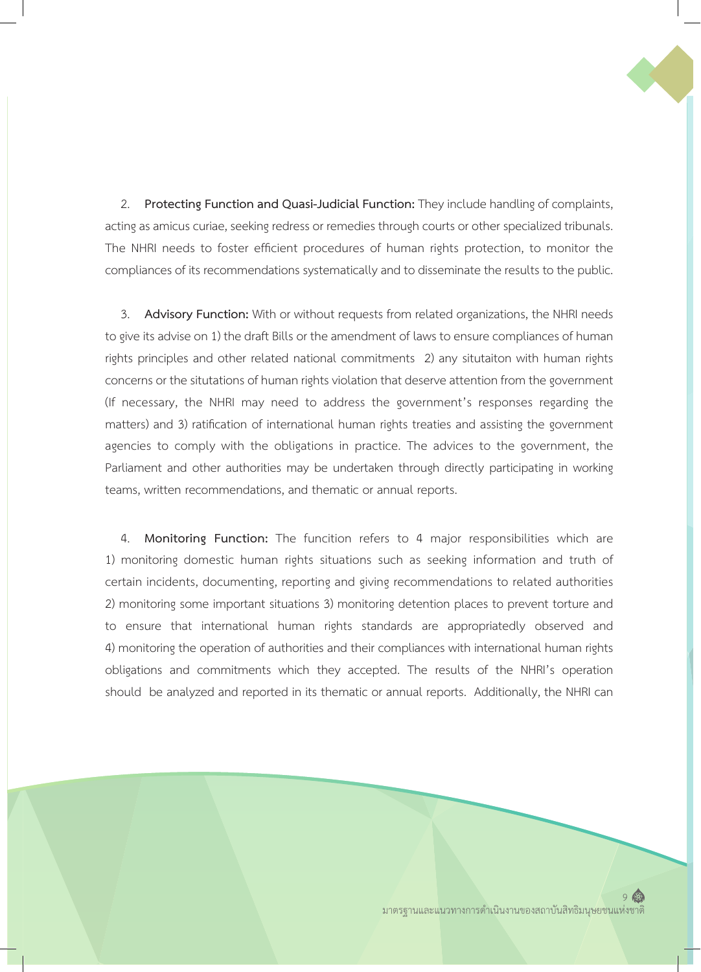2. **Protecting Function and Quasi-Judicial Function:** They include handling of complaints, acting as amicus curiae, seeking redress or remedies through courts or other specialized tribunals. The NHRI needs to foster efficient procedures of human rights protection, to monitor the compliances of its recommendations systematically and to disseminate the results to the public.

3. **Advisory Function:** With or without requests from related organizations, the NHRI needs to give its advise on 1) the draft Bills or the amendment of laws to ensure compliances of human rights principles and other related national commitments 2) any situtaiton with human rights concerns or the situtations of human rights violation that deserve attention from the government (If necessary, the NHRI may need to address the government's responses regarding the matters) and 3) ratification of international human rights treaties and assisting the government agencies to comply with the obligations in practice. The advices to the government, the Parliament and other authorities may be undertaken through directly participating in working teams, written recommendations, and thematic or annual reports.

4. **Monitoring Function:** The funcition refers to 4 major responsibilities which are 1) monitoring domestic human rights situations such as seeking information and truth of certain incidents, documenting, reporting and giving recommendations to related authorities 2) monitoring some important situations 3) monitoring detention places to prevent torture and to ensure that international human rights standards are appropriatedly observed and 4) monitoring the operation of authorities and their compliances with international human rights obligations and commitments which they accepted. The results of the NHRI's operation should be analyzed and reported in its thematic or annual reports. Additionally, the NHRI can

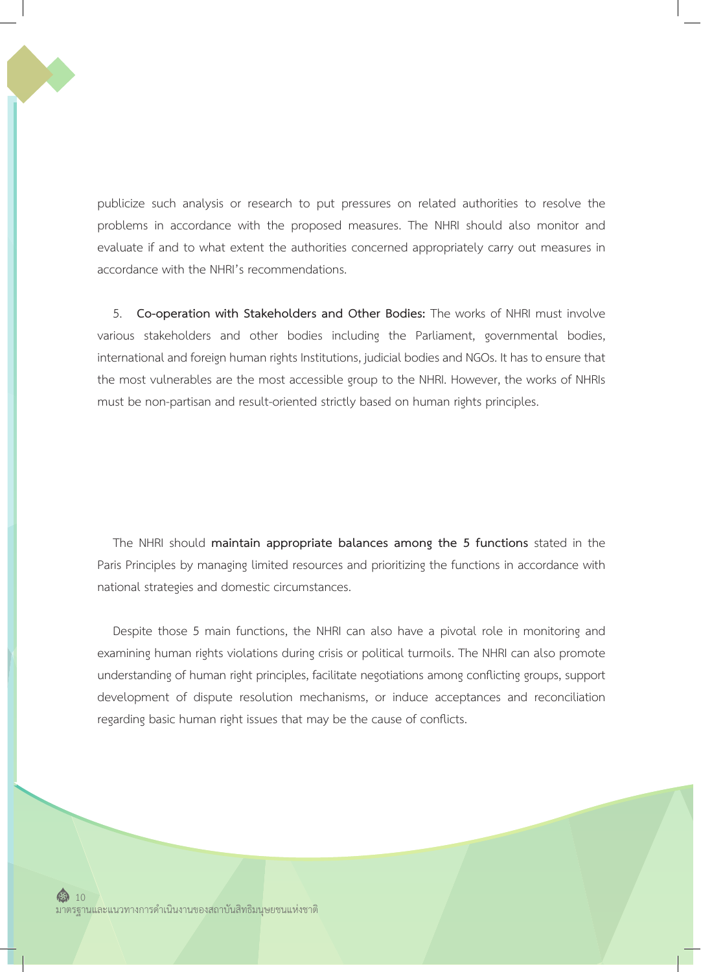publicize such analysis or research to put pressures on related authorities to resolve the problems in accordance with the proposed measures. The NHRI should also monitor and evaluate if and to what extent the authorities concerned appropriately carry out measures in accordance with the NHRI's recommendations.

5. **Co-operation with Stakeholders and Other Bodies:** The works of NHRI must involve various stakeholders and other bodies including the Parliament, governmental bodies, international and foreign human rights Institutions, judicial bodies and NGOs. It has to ensure that the most vulnerables are the most accessible group to the NHRI. However, the works of NHRIs must be non-partisan and result-oriented strictly based on human rights principles.

The NHRI should **maintain appropriate balances among the 5 functions** stated in the Paris Principles by managing limited resources and prioritizing the functions in accordance with national strategies and domestic circumstances.

Despite those 5 main functions, the NHRI can also have a pivotal role in monitoring and examining human rights violations during crisis or political turmoils. The NHRI can also promote understanding of human right principles, facilitate negotiations among conflicting groups, support development of dispute resolution mechanisms, or induce acceptances and reconciliation regarding basic human right issues that may be the cause of conflicts.